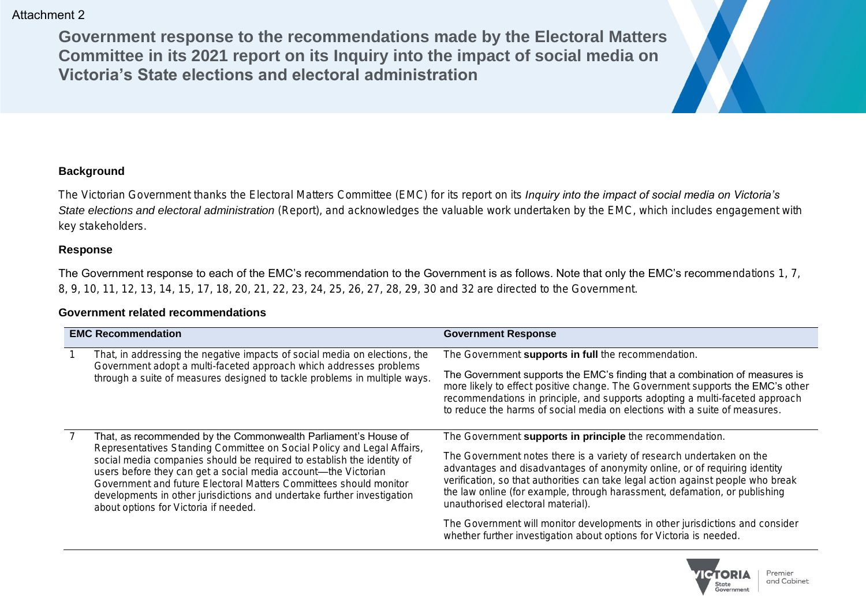**Government response to the recommendations made by the Electoral Matters Committee in its 2021 report on its Inquiry into the impact of social media on Victoria's State elections and electoral administration**



The Victorian Government thanks the Electoral Matters Committee (EMC) for its report on its *Inquiry into the impact of social media on Victoria's State elections and electoral administration* (Report), and acknowledges the valuable work undertaken by the EMC, which includes engagement with key stakeholders.

## **Response**

The Government response to each of the EMC's recommendation to the Government is as follows. Note that only the EMC's recommendations 1, 7, 8, 9, 10, 11, 12, 13, 14, 15, 17, 18, 20, 21, 22, 23, 24, 25, 26, 27, 28, 29, 30 and 32 are directed to the Government.

## **Government related recommendations**

| <b>EMC Recommendation</b>                                                                                                                                                                                                                                                                                                                                                                                                                                                     | <b>Government Response</b>                                                                                                                                                                                                                                                                                                                                                                                                                                                                                                                                                    |
|-------------------------------------------------------------------------------------------------------------------------------------------------------------------------------------------------------------------------------------------------------------------------------------------------------------------------------------------------------------------------------------------------------------------------------------------------------------------------------|-------------------------------------------------------------------------------------------------------------------------------------------------------------------------------------------------------------------------------------------------------------------------------------------------------------------------------------------------------------------------------------------------------------------------------------------------------------------------------------------------------------------------------------------------------------------------------|
| That, in addressing the negative impacts of social media on elections, the<br>Government adopt a multi-faceted approach which addresses problems<br>through a suite of measures designed to tackle problems in multiple ways.                                                                                                                                                                                                                                                 | The Government supports in full the recommendation.<br>The Government supports the EMC's finding that a combination of measures is<br>more likely to effect positive change. The Government supports the EMC's other<br>recommendations in principle, and supports adopting a multi-faceted approach<br>to reduce the harms of social media on elections with a suite of measures.                                                                                                                                                                                            |
| That, as recommended by the Commonwealth Parliament's House of<br>Representatives Standing Committee on Social Policy and Legal Affairs,<br>social media companies should be required to establish the identity of<br>users before they can get a social media account-the Victorian<br>Government and future Electoral Matters Committees should monitor<br>developments in other jurisdictions and undertake further investigation<br>about options for Victoria if needed. | The Government supports in principle the recommendation.<br>The Government notes there is a variety of research undertaken on the<br>advantages and disadvantages of anonymity online, or of requiring identity<br>verification, so that authorities can take legal action against people who break<br>the law online (for example, through harassment, defamation, or publishing<br>unauthorised electoral material).<br>The Government will monitor developments in other jurisdictions and consider<br>whether further investigation about options for Victoria is needed. |

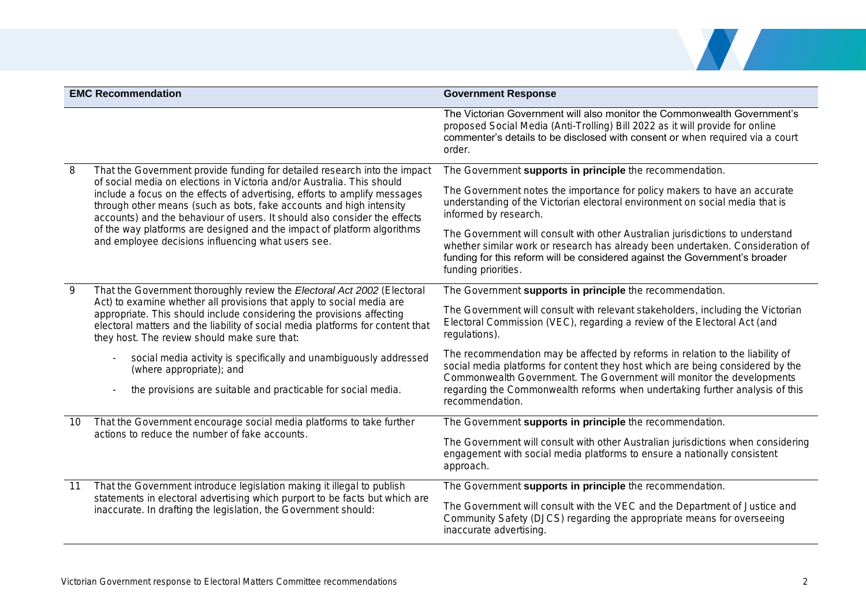

|    | <b>EMC Recommendation</b>                                                                                                                                                                                                                                                                                                                                                                                                                 | <b>Government Response</b>                                                                                                                                                                                                                                            |
|----|-------------------------------------------------------------------------------------------------------------------------------------------------------------------------------------------------------------------------------------------------------------------------------------------------------------------------------------------------------------------------------------------------------------------------------------------|-----------------------------------------------------------------------------------------------------------------------------------------------------------------------------------------------------------------------------------------------------------------------|
|    |                                                                                                                                                                                                                                                                                                                                                                                                                                           | The Victorian Government will also monitor the Commonwealth Government's<br>proposed Social Media (Anti-Trolling) Bill 2022 as it will provide for online<br>commenter's details to be disclosed with consent or when required via a court<br>order.                  |
| 8  | That the Government provide funding for detailed research into the impact                                                                                                                                                                                                                                                                                                                                                                 | The Government supports in principle the recommendation.                                                                                                                                                                                                              |
|    | of social media on elections in Victoria and/or Australia. This should<br>include a focus on the effects of advertising, efforts to amplify messages<br>through other means (such as bots, fake accounts and high intensity<br>accounts) and the behaviour of users. It should also consider the effects<br>of the way platforms are designed and the impact of platform algorithms<br>and employee decisions influencing what users see. | The Government notes the importance for policy makers to have an accurate<br>understanding of the Victorian electoral environment on social media that is<br>informed by research.                                                                                    |
|    |                                                                                                                                                                                                                                                                                                                                                                                                                                           | The Government will consult with other Australian jurisdictions to understand<br>whether similar work or research has already been undertaken. Consideration of<br>funding for this reform will be considered against the Government's broader<br>funding priorities. |
| 9  | That the Government thoroughly review the Electoral Act 2002 (Electoral                                                                                                                                                                                                                                                                                                                                                                   | The Government supports in principle the recommendation.                                                                                                                                                                                                              |
|    | Act) to examine whether all provisions that apply to social media are<br>appropriate. This should include considering the provisions affecting<br>electoral matters and the liability of social media platforms for content that<br>they host. The review should make sure that:                                                                                                                                                          | The Government will consult with relevant stakeholders, including the Victorian<br>Electoral Commission (VEC), regarding a review of the Electoral Act (and<br>regulations).                                                                                          |
|    | social media activity is specifically and unambiguously addressed<br>(where appropriate); and                                                                                                                                                                                                                                                                                                                                             | The recommendation may be affected by reforms in relation to the liability of<br>social media platforms for content they host which are being considered by the<br>Commonwealth Government. The Government will monitor the developments                              |
|    | the provisions are suitable and practicable for social media.                                                                                                                                                                                                                                                                                                                                                                             | regarding the Commonwealth reforms when undertaking further analysis of this<br>recommendation.                                                                                                                                                                       |
| 10 | That the Government encourage social media platforms to take further                                                                                                                                                                                                                                                                                                                                                                      | The Government supports in principle the recommendation.                                                                                                                                                                                                              |
|    | actions to reduce the number of fake accounts.                                                                                                                                                                                                                                                                                                                                                                                            | The Government will consult with other Australian jurisdictions when considering<br>engagement with social media platforms to ensure a nationally consistent<br>approach.                                                                                             |
| 11 | That the Government introduce legislation making it illegal to publish                                                                                                                                                                                                                                                                                                                                                                    | The Government supports in principle the recommendation.                                                                                                                                                                                                              |
|    | statements in electoral advertising which purport to be facts but which are<br>inaccurate. In drafting the legislation, the Government should:                                                                                                                                                                                                                                                                                            | The Government will consult with the VEC and the Department of Justice and<br>Community Safety (DJCS) regarding the appropriate means for overseeing<br>inaccurate advertising.                                                                                       |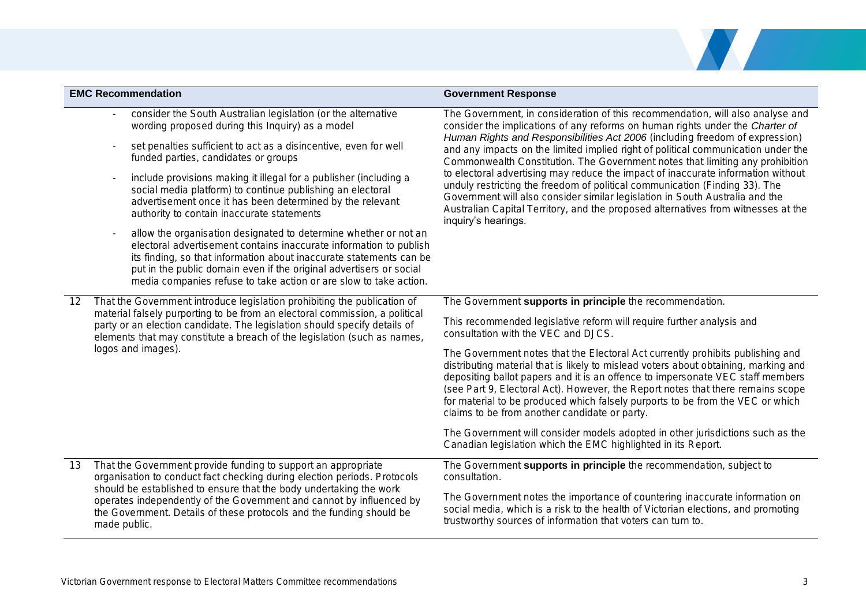|    | <b>EMC Recommendation</b>                                                                                                                                                                                                                                                                                                                                 | <b>Government Response</b>                                                                                                                                                                                                                                                                                                                                                                                                                                                                                                                                                                                        |
|----|-----------------------------------------------------------------------------------------------------------------------------------------------------------------------------------------------------------------------------------------------------------------------------------------------------------------------------------------------------------|-------------------------------------------------------------------------------------------------------------------------------------------------------------------------------------------------------------------------------------------------------------------------------------------------------------------------------------------------------------------------------------------------------------------------------------------------------------------------------------------------------------------------------------------------------------------------------------------------------------------|
|    | consider the South Australian legislation (or the alternative<br>wording proposed during this Inquiry) as a model                                                                                                                                                                                                                                         | The Government, in consideration of this recommendation, will also analyse and<br>consider the implications of any reforms on human rights under the Charter of                                                                                                                                                                                                                                                                                                                                                                                                                                                   |
|    | set penalties sufficient to act as a disincentive, even for well<br>funded parties, candidates or groups                                                                                                                                                                                                                                                  | Human Rights and Responsibilities Act 2006 (including freedom of expression)<br>and any impacts on the limited implied right of political communication under the<br>Commonwealth Constitution. The Government notes that limiting any prohibition<br>to electoral advertising may reduce the impact of inaccurate information without<br>unduly restricting the freedom of political communication (Finding 33). The<br>Government will also consider similar legislation in South Australia and the<br>Australian Capital Territory, and the proposed alternatives from witnesses at the<br>inquiry's hearings. |
|    | include provisions making it illegal for a publisher (including a<br>social media platform) to continue publishing an electoral<br>advertisement once it has been determined by the relevant<br>authority to contain inaccurate statements                                                                                                                |                                                                                                                                                                                                                                                                                                                                                                                                                                                                                                                                                                                                                   |
|    | allow the organisation designated to determine whether or not an<br>electoral advertisement contains inaccurate information to publish<br>its finding, so that information about inaccurate statements can be<br>put in the public domain even if the original advertisers or social<br>media companies refuse to take action or are slow to take action. |                                                                                                                                                                                                                                                                                                                                                                                                                                                                                                                                                                                                                   |
| 12 | That the Government introduce legislation prohibiting the publication of                                                                                                                                                                                                                                                                                  | The Government supports in principle the recommendation.                                                                                                                                                                                                                                                                                                                                                                                                                                                                                                                                                          |
|    | material falsely purporting to be from an electoral commission, a political<br>party or an election candidate. The legislation should specify details of<br>elements that may constitute a breach of the legislation (such as names,                                                                                                                      | This recommended legislative reform will require further analysis and<br>consultation with the VEC and DJCS.                                                                                                                                                                                                                                                                                                                                                                                                                                                                                                      |
|    | logos and images).                                                                                                                                                                                                                                                                                                                                        | The Government notes that the Electoral Act currently prohibits publishing and<br>distributing material that is likely to mislead voters about obtaining, marking and<br>depositing ballot papers and it is an offence to impersonate VEC staff members<br>(see Part 9, Electoral Act). However, the Report notes that there remains scope<br>for material to be produced which falsely purports to be from the VEC or which<br>claims to be from another candidate or party.                                                                                                                                     |
|    |                                                                                                                                                                                                                                                                                                                                                           | The Government will consider models adopted in other jurisdictions such as the<br>Canadian legislation which the EMC highlighted in its Report.                                                                                                                                                                                                                                                                                                                                                                                                                                                                   |
| 13 | That the Government provide funding to support an appropriate<br>organisation to conduct fact checking during election periods. Protocols                                                                                                                                                                                                                 | The Government supports in principle the recommendation, subject to<br>consultation.                                                                                                                                                                                                                                                                                                                                                                                                                                                                                                                              |
|    | should be established to ensure that the body undertaking the work<br>operates independently of the Government and cannot by influenced by<br>the Government. Details of these protocols and the funding should be<br>made public.                                                                                                                        | The Government notes the importance of countering inaccurate information on<br>social media, which is a risk to the health of Victorian elections, and promoting<br>trustworthy sources of information that voters can turn to.                                                                                                                                                                                                                                                                                                                                                                                   |

No. 1991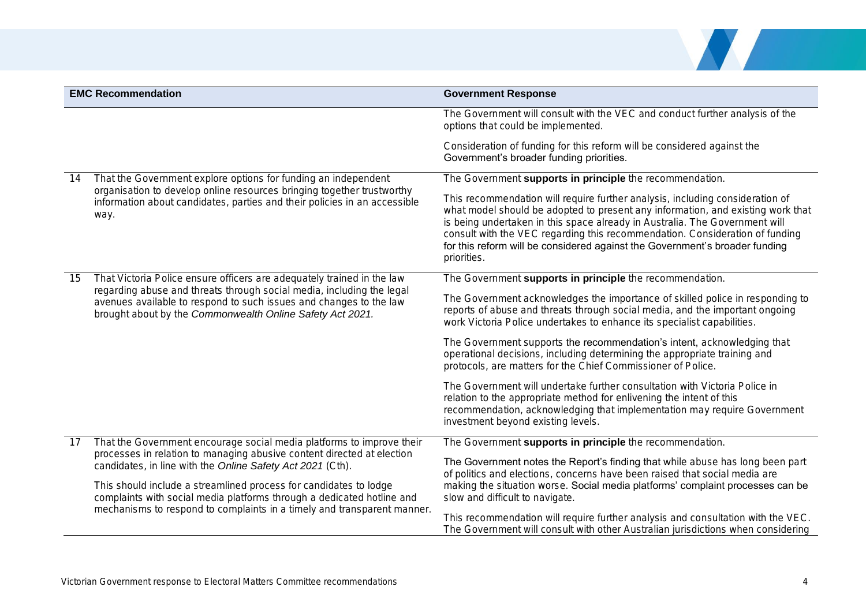

|    | <b>EMC Recommendation</b>                                                                                                                                                                                              | <b>Government Response</b>                                                                                                                                                                                                                                                                                                                                                                                                    |
|----|------------------------------------------------------------------------------------------------------------------------------------------------------------------------------------------------------------------------|-------------------------------------------------------------------------------------------------------------------------------------------------------------------------------------------------------------------------------------------------------------------------------------------------------------------------------------------------------------------------------------------------------------------------------|
|    |                                                                                                                                                                                                                        | The Government will consult with the VEC and conduct further analysis of the<br>options that could be implemented.                                                                                                                                                                                                                                                                                                            |
|    |                                                                                                                                                                                                                        | Consideration of funding for this reform will be considered against the<br>Government's broader funding priorities.                                                                                                                                                                                                                                                                                                           |
| 14 | That the Government explore options for funding an independent<br>organisation to develop online resources bringing together trustworthy                                                                               | The Government supports in principle the recommendation.                                                                                                                                                                                                                                                                                                                                                                      |
|    | information about candidates, parties and their policies in an accessible<br>way.                                                                                                                                      | This recommendation will require further analysis, including consideration of<br>what model should be adopted to present any information, and existing work that<br>is being undertaken in this space already in Australia. The Government will<br>consult with the VEC regarding this recommendation. Consideration of funding<br>for this reform will be considered against the Government's broader funding<br>priorities. |
| 15 | That Victoria Police ensure officers are adequately trained in the law                                                                                                                                                 | The Government supports in principle the recommendation.                                                                                                                                                                                                                                                                                                                                                                      |
|    | regarding abuse and threats through social media, including the legal<br>avenues available to respond to such issues and changes to the law<br>brought about by the Commonwealth Online Safety Act 2021.               | The Government acknowledges the importance of skilled police in responding to<br>reports of abuse and threats through social media, and the important ongoing<br>work Victoria Police undertakes to enhance its specialist capabilities.                                                                                                                                                                                      |
|    |                                                                                                                                                                                                                        | The Government supports the recommendation's intent, acknowledging that<br>operational decisions, including determining the appropriate training and<br>protocols, are matters for the Chief Commissioner of Police.                                                                                                                                                                                                          |
|    |                                                                                                                                                                                                                        | The Government will undertake further consultation with Victoria Police in<br>relation to the appropriate method for enlivening the intent of this<br>recommendation, acknowledging that implementation may require Government<br>investment beyond existing levels.                                                                                                                                                          |
| 17 | That the Government encourage social media platforms to improve their                                                                                                                                                  | The Government supports in principle the recommendation.                                                                                                                                                                                                                                                                                                                                                                      |
|    | processes in relation to managing abusive content directed at election<br>candidates, in line with the Online Safety Act 2021 (Cth).                                                                                   | The Government notes the Report's finding that while abuse has long been part<br>of politics and elections, concerns have been raised that social media are                                                                                                                                                                                                                                                                   |
|    | This should include a streamlined process for candidates to lodge<br>complaints with social media platforms through a dedicated hotline and<br>mechanisms to respond to complaints in a timely and transparent manner. | making the situation worse. Social media platforms' complaint processes can be<br>slow and difficult to navigate.                                                                                                                                                                                                                                                                                                             |
|    |                                                                                                                                                                                                                        | This recommendation will require further analysis and consultation with the VEC.<br>The Government will consult with other Australian jurisdictions when considering                                                                                                                                                                                                                                                          |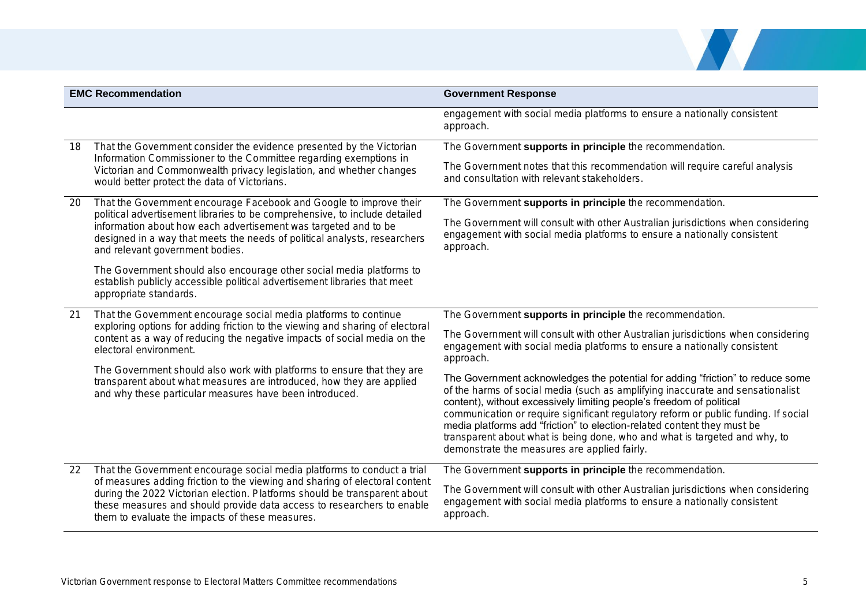

| <b>EMC Recommendation</b> |                                                                                                                                                                                                                                                                                       | <b>Government Response</b>                                                                                                                                                                                                                                                                                                                                                                                                                                                                                                               |
|---------------------------|---------------------------------------------------------------------------------------------------------------------------------------------------------------------------------------------------------------------------------------------------------------------------------------|------------------------------------------------------------------------------------------------------------------------------------------------------------------------------------------------------------------------------------------------------------------------------------------------------------------------------------------------------------------------------------------------------------------------------------------------------------------------------------------------------------------------------------------|
|                           |                                                                                                                                                                                                                                                                                       | engagement with social media platforms to ensure a nationally consistent<br>approach.                                                                                                                                                                                                                                                                                                                                                                                                                                                    |
| 18                        | That the Government consider the evidence presented by the Victorian                                                                                                                                                                                                                  | The Government supports in principle the recommendation.                                                                                                                                                                                                                                                                                                                                                                                                                                                                                 |
|                           | Information Commissioner to the Committee regarding exemptions in<br>Victorian and Commonwealth privacy legislation, and whether changes<br>would better protect the data of Victorians.                                                                                              | The Government notes that this recommendation will require careful analysis<br>and consultation with relevant stakeholders.                                                                                                                                                                                                                                                                                                                                                                                                              |
| 20                        | That the Government encourage Facebook and Google to improve their                                                                                                                                                                                                                    | The Government supports in principle the recommendation.                                                                                                                                                                                                                                                                                                                                                                                                                                                                                 |
|                           | political advertisement libraries to be comprehensive, to include detailed<br>information about how each advertisement was targeted and to be<br>designed in a way that meets the needs of political analysts, researchers<br>and relevant government bodies.                         | The Government will consult with other Australian jurisdictions when considering<br>engagement with social media platforms to ensure a nationally consistent<br>approach.                                                                                                                                                                                                                                                                                                                                                                |
|                           | The Government should also encourage other social media platforms to<br>establish publicly accessible political advertisement libraries that meet<br>appropriate standards.                                                                                                           |                                                                                                                                                                                                                                                                                                                                                                                                                                                                                                                                          |
| 21                        | That the Government encourage social media platforms to continue<br>exploring options for adding friction to the viewing and sharing of electoral<br>content as a way of reducing the negative impacts of social media on the<br>electoral environment.                               | The Government supports in principle the recommendation.                                                                                                                                                                                                                                                                                                                                                                                                                                                                                 |
|                           |                                                                                                                                                                                                                                                                                       | The Government will consult with other Australian jurisdictions when considering<br>engagement with social media platforms to ensure a nationally consistent<br>approach.                                                                                                                                                                                                                                                                                                                                                                |
|                           | The Government should also work with platforms to ensure that they are<br>transparent about what measures are introduced, how they are applied<br>and why these particular measures have been introduced.                                                                             | The Government acknowledges the potential for adding "friction" to reduce some<br>of the harms of social media (such as amplifying inaccurate and sensationalist<br>content), without excessively limiting people's freedom of political<br>communication or require significant regulatory reform or public funding. If social<br>media platforms add "friction" to election-related content they must be<br>transparent about what is being done, who and what is targeted and why, to<br>demonstrate the measures are applied fairly. |
| 22                        | That the Government encourage social media platforms to conduct a trial                                                                                                                                                                                                               | The Government supports in principle the recommendation.                                                                                                                                                                                                                                                                                                                                                                                                                                                                                 |
|                           | of measures adding friction to the viewing and sharing of electoral content<br>during the 2022 Victorian election. Platforms should be transparent about<br>these measures and should provide data access to researchers to enable<br>them to evaluate the impacts of these measures. | The Government will consult with other Australian jurisdictions when considering<br>engagement with social media platforms to ensure a nationally consistent<br>approach.                                                                                                                                                                                                                                                                                                                                                                |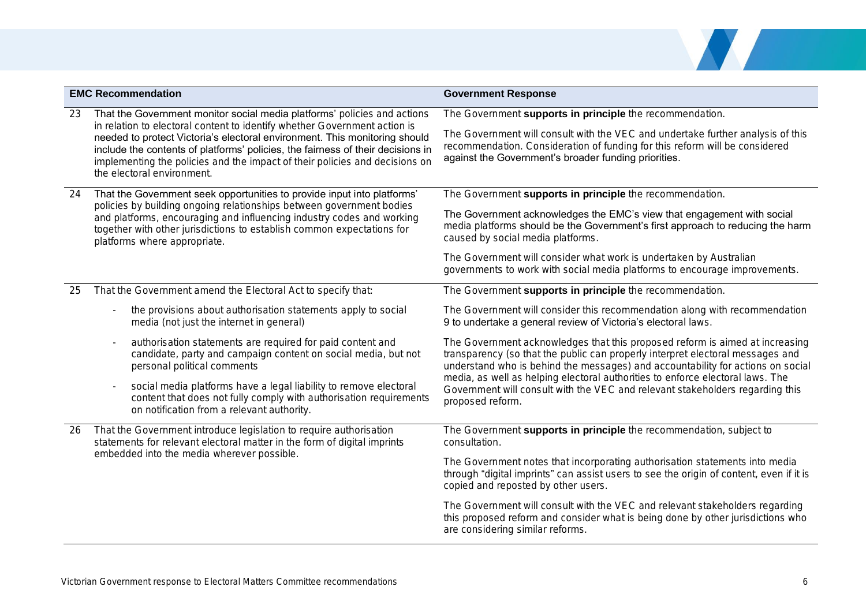

|    | <b>EMC Recommendation</b>                                                                                                                                                                                                                                                                                                                                                                                                           | <b>Government Response</b>                                                                                                                                                                                                                                                                                                                                                                                    |
|----|-------------------------------------------------------------------------------------------------------------------------------------------------------------------------------------------------------------------------------------------------------------------------------------------------------------------------------------------------------------------------------------------------------------------------------------|---------------------------------------------------------------------------------------------------------------------------------------------------------------------------------------------------------------------------------------------------------------------------------------------------------------------------------------------------------------------------------------------------------------|
| 23 | That the Government monitor social media platforms' policies and actions<br>in relation to electoral content to identify whether Government action is<br>needed to protect Victoria's electoral environment. This monitoring should<br>include the contents of platforms' policies, the fairness of their decisions in<br>implementing the policies and the impact of their policies and decisions on<br>the electoral environment. | The Government supports in principle the recommendation.<br>The Government will consult with the VEC and undertake further analysis of this<br>recommendation. Consideration of funding for this reform will be considered<br>against the Government's broader funding priorities.                                                                                                                            |
| 24 | That the Government seek opportunities to provide input into platforms'<br>policies by building ongoing relationships between government bodies<br>and platforms, encouraging and influencing industry codes and working<br>together with other jurisdictions to establish common expectations for<br>platforms where appropriate.                                                                                                  | The Government supports in principle the recommendation.<br>The Government acknowledges the EMC's view that engagement with social<br>media platforms should be the Government's first approach to reducing the harm<br>caused by social media platforms.<br>The Government will consider what work is undertaken by Australian<br>governments to work with social media platforms to encourage improvements. |
| 25 | That the Government amend the Electoral Act to specify that:                                                                                                                                                                                                                                                                                                                                                                        | The Government supports in principle the recommendation.                                                                                                                                                                                                                                                                                                                                                      |
|    | the provisions about authorisation statements apply to social<br>media (not just the internet in general)                                                                                                                                                                                                                                                                                                                           | The Government will consider this recommendation along with recommendation<br>9 to undertake a general review of Victoria's electoral laws.                                                                                                                                                                                                                                                                   |
|    | authorisation statements are required for paid content and<br>candidate, party and campaign content on social media, but not<br>personal political comments                                                                                                                                                                                                                                                                         | The Government acknowledges that this proposed reform is aimed at increasing<br>transparency (so that the public can properly interpret electoral messages and<br>understand who is behind the messages) and accountability for actions on social                                                                                                                                                             |
|    | social media platforms have a legal liability to remove electoral<br>content that does not fully comply with authorisation requirements<br>on notification from a relevant authority.                                                                                                                                                                                                                                               | media, as well as helping electoral authorities to enforce electoral laws. The<br>Government will consult with the VEC and relevant stakeholders regarding this<br>proposed reform.                                                                                                                                                                                                                           |
| 26 | That the Government introduce legislation to require authorisation<br>statements for relevant electoral matter in the form of digital imprints<br>embedded into the media wherever possible.                                                                                                                                                                                                                                        | The Government supports in principle the recommendation, subject to<br>consultation.                                                                                                                                                                                                                                                                                                                          |
|    |                                                                                                                                                                                                                                                                                                                                                                                                                                     | The Government notes that incorporating authorisation statements into media<br>through "digital imprints" can assist users to see the origin of content, even if it is<br>copied and reposted by other users.                                                                                                                                                                                                 |
|    |                                                                                                                                                                                                                                                                                                                                                                                                                                     | The Government will consult with the VEC and relevant stakeholders regarding<br>this proposed reform and consider what is being done by other jurisdictions who<br>are considering similar reforms.                                                                                                                                                                                                           |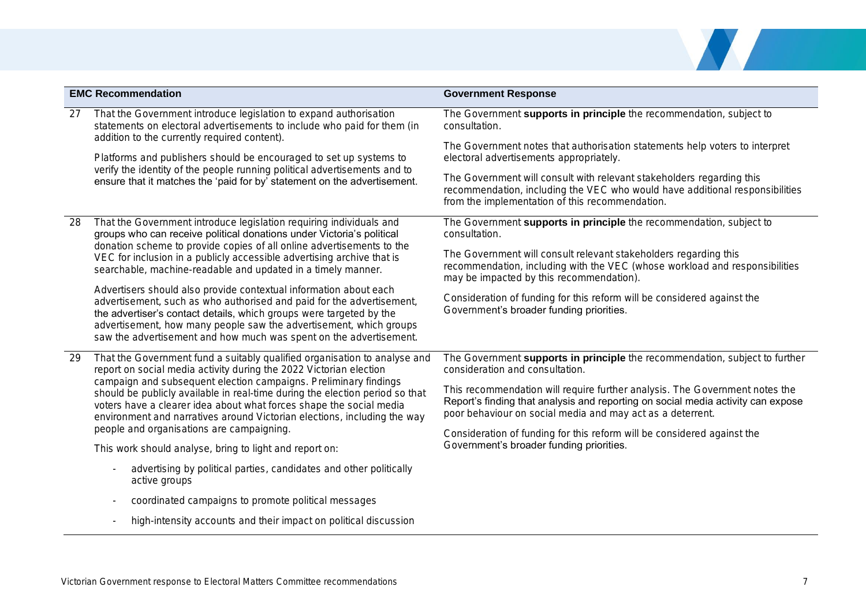

|    | <b>EMC Recommendation</b>                                                                                                                                                                                                                                                                                                                                                                                                                              | <b>Government Response</b>                                                                                                                                                                                                    |
|----|--------------------------------------------------------------------------------------------------------------------------------------------------------------------------------------------------------------------------------------------------------------------------------------------------------------------------------------------------------------------------------------------------------------------------------------------------------|-------------------------------------------------------------------------------------------------------------------------------------------------------------------------------------------------------------------------------|
| 27 | That the Government introduce legislation to expand authorisation<br>statements on electoral advertisements to include who paid for them (in<br>addition to the currently required content).                                                                                                                                                                                                                                                           | The Government supports in principle the recommendation, subject to<br>consultation.                                                                                                                                          |
|    | Platforms and publishers should be encouraged to set up systems to<br>verify the identity of the people running political advertisements and to<br>ensure that it matches the 'paid for by' statement on the advertisement.                                                                                                                                                                                                                            | The Government notes that authorisation statements help voters to interpret<br>electoral advertisements appropriately.                                                                                                        |
|    |                                                                                                                                                                                                                                                                                                                                                                                                                                                        | The Government will consult with relevant stakeholders regarding this<br>recommendation, including the VEC who would have additional responsibilities<br>from the implementation of this recommendation.                      |
| 28 | That the Government introduce legislation requiring individuals and<br>groups who can receive political donations under Victoria's political<br>donation scheme to provide copies of all online advertisements to the<br>VEC for inclusion in a publicly accessible advertising archive that is<br>searchable, machine-readable and updated in a timely manner.                                                                                        | The Government supports in principle the recommendation, subject to<br>consultation.                                                                                                                                          |
|    |                                                                                                                                                                                                                                                                                                                                                                                                                                                        | The Government will consult relevant stakeholders regarding this<br>recommendation, including with the VEC (whose workload and responsibilities<br>may be impacted by this recommendation).                                   |
|    | Advertisers should also provide contextual information about each<br>advertisement, such as who authorised and paid for the advertisement,<br>the advertiser's contact details, which groups were targeted by the<br>advertisement, how many people saw the advertisement, which groups<br>saw the advertisement and how much was spent on the advertisement.                                                                                          | Consideration of funding for this reform will be considered against the<br>Government's broader funding priorities.                                                                                                           |
| 29 | That the Government fund a suitably qualified organisation to analyse and<br>report on social media activity during the 2022 Victorian election<br>campaign and subsequent election campaigns. Preliminary findings<br>should be publicly available in real-time during the election period so that<br>voters have a clearer idea about what forces shape the social media<br>environment and narratives around Victorian elections, including the way | The Government supports in principle the recommendation, subject to further<br>consideration and consultation.                                                                                                                |
|    |                                                                                                                                                                                                                                                                                                                                                                                                                                                        | This recommendation will require further analysis. The Government notes the<br>Report's finding that analysis and reporting on social media activity can expose<br>poor behaviour on social media and may act as a deterrent. |
|    | people and organisations are campaigning.                                                                                                                                                                                                                                                                                                                                                                                                              | Consideration of funding for this reform will be considered against the                                                                                                                                                       |
|    | This work should analyse, bring to light and report on:                                                                                                                                                                                                                                                                                                                                                                                                | Government's broader funding priorities.                                                                                                                                                                                      |
|    | advertising by political parties, candidates and other politically<br>active groups                                                                                                                                                                                                                                                                                                                                                                    |                                                                                                                                                                                                                               |
|    | coordinated campaigns to promote political messages                                                                                                                                                                                                                                                                                                                                                                                                    |                                                                                                                                                                                                                               |
|    | high-intensity accounts and their impact on political discussion                                                                                                                                                                                                                                                                                                                                                                                       |                                                                                                                                                                                                                               |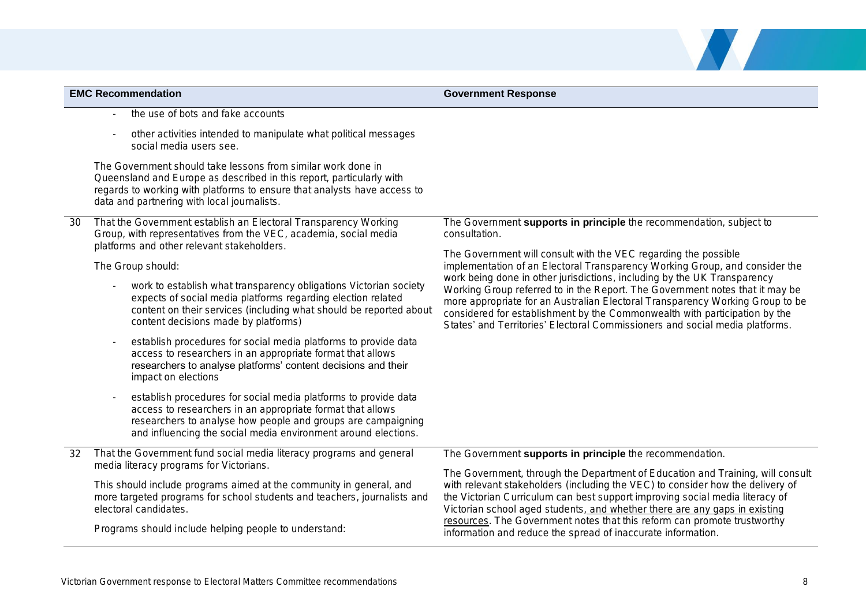| <b>EMC Recommendation</b> |                                                                                                                                                                                                                                                                              | <b>Government Response</b>                                                                                                                                                                                                                                                                                                                                                                                                                                                 |
|---------------------------|------------------------------------------------------------------------------------------------------------------------------------------------------------------------------------------------------------------------------------------------------------------------------|----------------------------------------------------------------------------------------------------------------------------------------------------------------------------------------------------------------------------------------------------------------------------------------------------------------------------------------------------------------------------------------------------------------------------------------------------------------------------|
|                           | the use of bots and fake accounts                                                                                                                                                                                                                                            |                                                                                                                                                                                                                                                                                                                                                                                                                                                                            |
|                           | other activities intended to manipulate what political messages<br>social media users see.                                                                                                                                                                                   |                                                                                                                                                                                                                                                                                                                                                                                                                                                                            |
|                           | The Government should take lessons from similar work done in<br>Queensland and Europe as described in this report, particularly with<br>regards to working with platforms to ensure that analysts have access to<br>data and partnering with local journalists.              |                                                                                                                                                                                                                                                                                                                                                                                                                                                                            |
| 30                        | That the Government establish an Electoral Transparency Working<br>Group, with representatives from the VEC, academia, social media<br>platforms and other relevant stakeholders.                                                                                            | The Government supports in principle the recommendation, subject to<br>consultation.                                                                                                                                                                                                                                                                                                                                                                                       |
|                           | The Group should:                                                                                                                                                                                                                                                            | The Government will consult with the VEC regarding the possible<br>implementation of an Electoral Transparency Working Group, and consider the                                                                                                                                                                                                                                                                                                                             |
|                           | work to establish what transparency obligations Victorian society<br>expects of social media platforms regarding election related<br>content on their services (including what should be reported about<br>content decisions made by platforms)                              | work being done in other jurisdictions, including by the UK Transparency<br>Working Group referred to in the Report. The Government notes that it may be<br>more appropriate for an Australian Electoral Transparency Working Group to be<br>considered for establishment by the Commonwealth with participation by the<br>States' and Territories' Electoral Commissioners and social media platforms.                                                                    |
|                           | establish procedures for social media platforms to provide data<br>access to researchers in an appropriate format that allows<br>researchers to analyse platforms' content decisions and their<br>impact on elections                                                        |                                                                                                                                                                                                                                                                                                                                                                                                                                                                            |
|                           | establish procedures for social media platforms to provide data<br>access to researchers in an appropriate format that allows<br>researchers to analyse how people and groups are campaigning<br>and influencing the social media environment around elections.              |                                                                                                                                                                                                                                                                                                                                                                                                                                                                            |
| 32                        | That the Government fund social media literacy programs and general                                                                                                                                                                                                          | The Government supports in principle the recommendation.                                                                                                                                                                                                                                                                                                                                                                                                                   |
|                           | media literacy programs for Victorians.<br>This should include programs aimed at the community in general, and<br>more targeted programs for school students and teachers, journalists and<br>electoral candidates.<br>Programs should include helping people to understand: | The Government, through the Department of Education and Training, will consult<br>with relevant stakeholders (including the VEC) to consider how the delivery of<br>the Victorian Curriculum can best support improving social media literacy of<br>Victorian school aged students, and whether there are any gaps in existing<br>resources. The Government notes that this reform can promote trustworthy<br>information and reduce the spread of inaccurate information. |

No. 1991